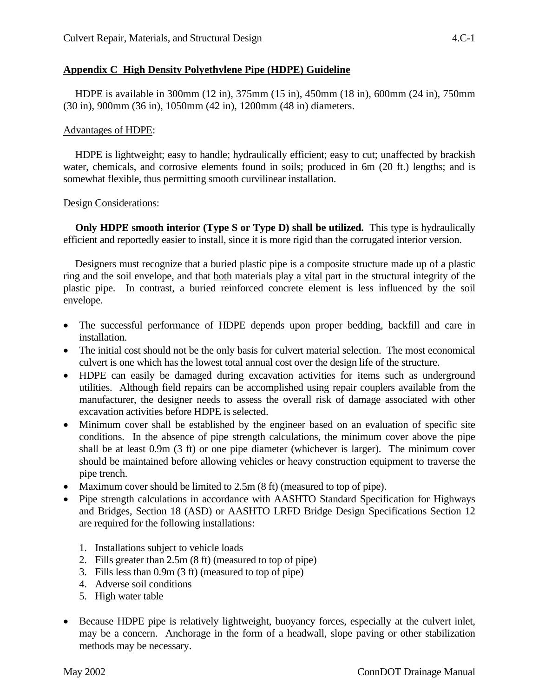## **Appendix C High Density Polyethylene Pipe (HDPE) Guideline**

HDPE is available in 300mm (12 in), 375mm (15 in), 450mm (18 in), 600mm (24 in), 750mm (30 in), 900mm (36 in), 1050mm (42 in), 1200mm (48 in) diameters.

## Advantages of HDPE:

HDPE is lightweight; easy to handle; hydraulically efficient; easy to cut; unaffected by brackish water, chemicals, and corrosive elements found in soils; produced in 6m (20 ft.) lengths; and is somewhat flexible, thus permitting smooth curvilinear installation.

## Design Considerations:

**Only HDPE smooth interior (Type S or Type D) shall be utilized.** This type is hydraulically efficient and reportedly easier to install, since it is more rigid than the corrugated interior version.

Designers must recognize that a buried plastic pipe is a composite structure made up of a plastic ring and the soil envelope, and that both materials play a vital part in the structural integrity of the plastic pipe. In contrast, a buried reinforced concrete element is less influenced by the soil envelope.

- The successful performance of HDPE depends upon proper bedding, backfill and care in installation.
- The initial cost should not be the only basis for culvert material selection. The most economical culvert is one which has the lowest total annual cost over the design life of the structure.
- HDPE can easily be damaged during excavation activities for items such as underground utilities. Although field repairs can be accomplished using repair couplers available from the manufacturer, the designer needs to assess the overall risk of damage associated with other excavation activities before HDPE is selected.
- Minimum cover shall be established by the engineer based on an evaluation of specific site conditions. In the absence of pipe strength calculations, the minimum cover above the pipe shall be at least 0.9m (3 ft) or one pipe diameter (whichever is larger). The minimum cover should be maintained before allowing vehicles or heavy construction equipment to traverse the pipe trench.
- Maximum cover should be limited to 2.5m (8 ft) (measured to top of pipe).
- Pipe strength calculations in accordance with AASHTO Standard Specification for Highways and Bridges, Section 18 (ASD) or AASHTO LRFD Bridge Design Specifications Section 12 are required for the following installations:
	- 1. Installations subject to vehicle loads
	- 2. Fills greater than 2.5m (8 ft) (measured to top of pipe)
	- 3. Fills less than 0.9m (3 ft) (measured to top of pipe)
	- 4. Adverse soil conditions
	- 5. High water table
- Because HDPE pipe is relatively lightweight, buoyancy forces, especially at the culvert inlet, may be a concern. Anchorage in the form of a headwall, slope paving or other stabilization methods may be necessary.